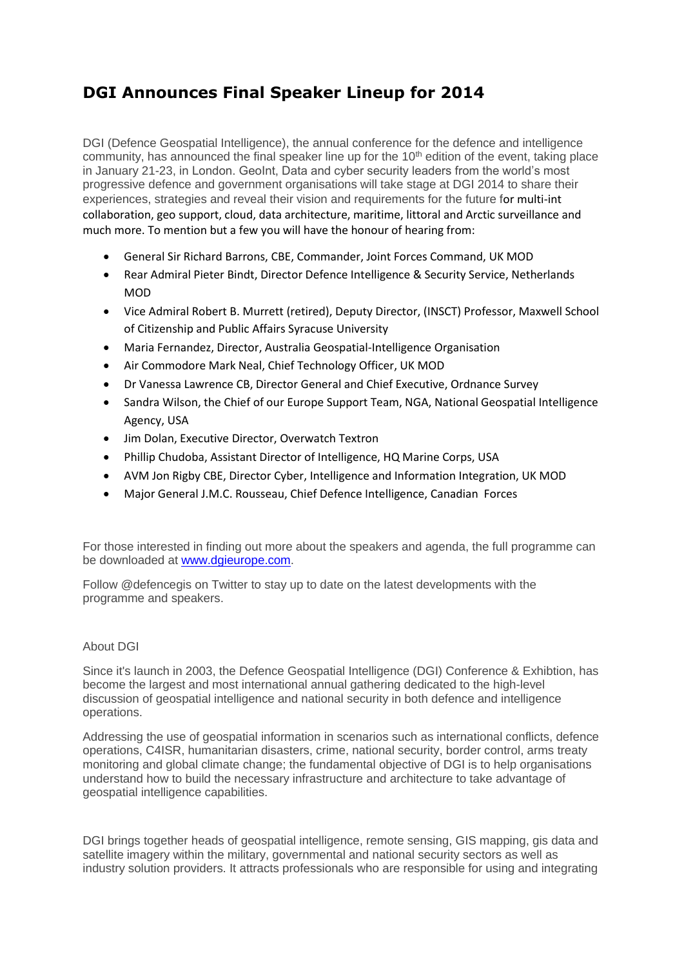## **DGI Announces Final Speaker Lineup for 2014**

DGI (Defence Geospatial Intelligence), the annual conference for the defence and intelligence community, has announced the final speaker line up for the 10<sup>th</sup> edition of the event, taking place in January 21-23, in London. GeoInt, Data and cyber security leaders from the world's most progressive defence and government organisations will take stage at DGI 2014 to share their experiences, strategies and reveal their vision and requirements for the future for multi-int collaboration, geo support, cloud, data architecture, maritime, littoral and Arctic surveillance and much more. To mention but a few you will have the honour of hearing from:

- General Sir Richard Barrons, CBE, Commander, Joint Forces Command, UK MOD
- Rear Admiral Pieter Bindt, Director Defence Intelligence & Security Service, Netherlands MOD
- Vice Admiral Robert B. Murrett (retired), Deputy Director, (INSCT) Professor, Maxwell School of Citizenship and Public Affairs Syracuse University
- Maria Fernandez, Director, Australia Geospatial-Intelligence Organisation
- Air Commodore Mark Neal, Chief Technology Officer, UK MOD
- Dr Vanessa Lawrence CB, Director General and Chief Executive, Ordnance Survey
- Sandra Wilson, the Chief of our Europe Support Team, NGA, National Geospatial Intelligence Agency, USA
- Jim Dolan, Executive Director, Overwatch Textron
- Phillip Chudoba, Assistant Director of Intelligence, HQ Marine Corps, USA
- AVM Jon Rigby CBE, Director Cyber, Intelligence and Information Integration, UK MOD
- Major General J.M.C. Rousseau, Chief Defence Intelligence, Canadian Forces

For those interested in finding out more about the speakers and agenda, the full programme can be downloaded at [www.dgieurope.com.](http://www.dgieurope.com/)

Follow @defencegis on Twitter to stay up to date on the latest developments with the programme and speakers.

## About DGI

Since it's launch in 2003, the Defence Geospatial Intelligence (DGI) Conference & Exhibtion, has become the largest and most international annual gathering dedicated to the high-level discussion of geospatial intelligence and national security in both defence and intelligence operations.

Addressing the use of geospatial information in scenarios such as international conflicts, defence operations, C4ISR, humanitarian disasters, crime, national security, border control, arms treaty monitoring and global climate change; the fundamental objective of DGI is to help organisations understand how to build the necessary infrastructure and architecture to take advantage of geospatial intelligence capabilities.

DGI brings together heads of geospatial intelligence, remote sensing, GIS mapping, gis data and satellite imagery within the military, governmental and national security sectors as well as industry solution providers. It attracts professionals who are responsible for using and integrating